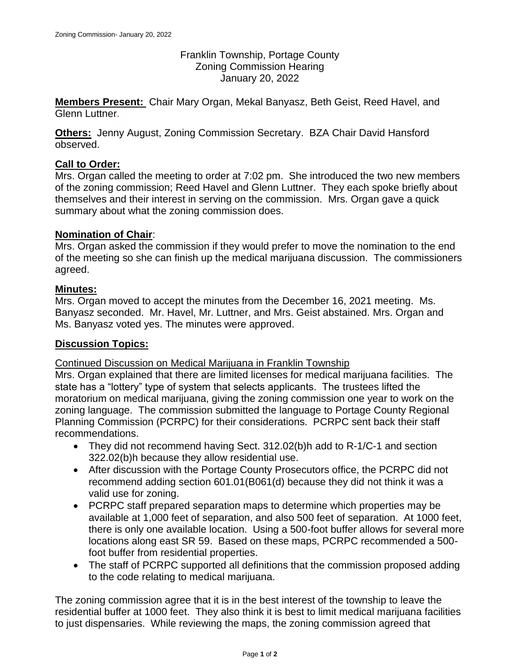Franklin Township, Portage County Zoning Commission Hearing January 20, 2022

**Members Present:** Chair Mary Organ, Mekal Banyasz, Beth Geist, Reed Havel, and Glenn Luttner.

**Others:** Jenny August, Zoning Commission Secretary. BZA Chair David Hansford observed.

# **Call to Order:**

Mrs. Organ called the meeting to order at 7:02 pm. She introduced the two new members of the zoning commission; Reed Havel and Glenn Luttner. They each spoke briefly about themselves and their interest in serving on the commission. Mrs. Organ gave a quick summary about what the zoning commission does.

# **Nomination of Chair**:

Mrs. Organ asked the commission if they would prefer to move the nomination to the end of the meeting so she can finish up the medical marijuana discussion. The commissioners agreed.

### **Minutes:**

Mrs. Organ moved to accept the minutes from the December 16, 2021 meeting. Ms. Banyasz seconded. Mr. Havel, Mr. Luttner, and Mrs. Geist abstained. Mrs. Organ and Ms. Banyasz voted yes. The minutes were approved.

### **Discussion Topics:**

Continued Discussion on Medical Marijuana in Franklin Township

Mrs. Organ explained that there are limited licenses for medical marijuana facilities. The state has a "lottery" type of system that selects applicants. The trustees lifted the moratorium on medical marijuana, giving the zoning commission one year to work on the zoning language. The commission submitted the language to Portage County Regional Planning Commission (PCRPC) for their considerations. PCRPC sent back their staff recommendations.

- They did not recommend having Sect. 312.02(b)h add to R-1/C-1 and section 322.02(b)h because they allow residential use.
- After discussion with the Portage County Prosecutors office, the PCRPC did not recommend adding section 601.01(B061(d) because they did not think it was a valid use for zoning.
- PCRPC staff prepared separation maps to determine which properties may be available at 1,000 feet of separation, and also 500 feet of separation. At 1000 feet, there is only one available location. Using a 500-foot buffer allows for several more locations along east SR 59. Based on these maps, PCRPC recommended a 500 foot buffer from residential properties.
- The staff of PCRPC supported all definitions that the commission proposed adding to the code relating to medical marijuana.

The zoning commission agree that it is in the best interest of the township to leave the residential buffer at 1000 feet. They also think it is best to limit medical marijuana facilities to just dispensaries. While reviewing the maps, the zoning commission agreed that